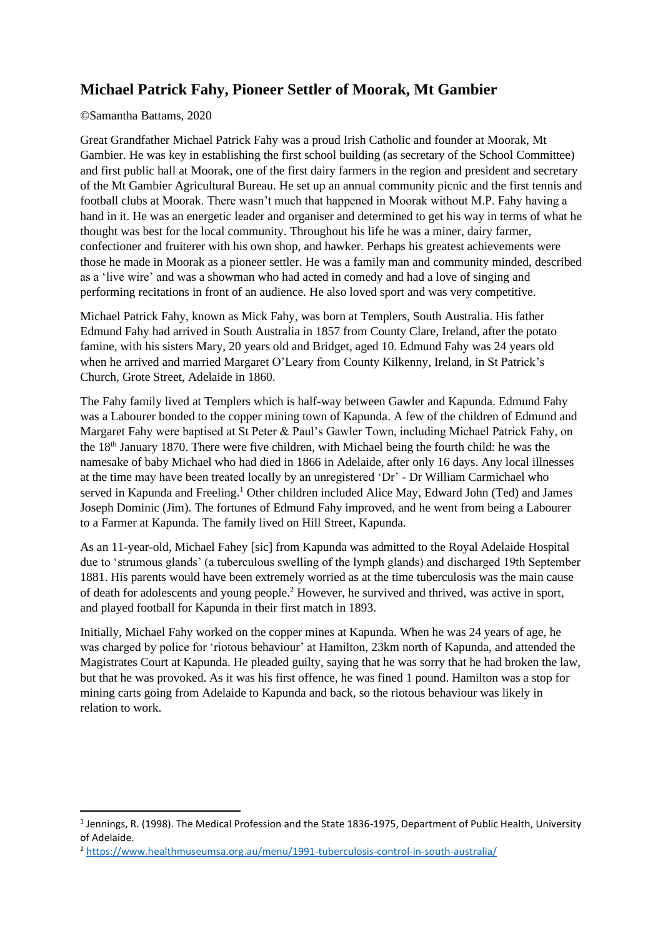# **Michael Patrick Fahy, Pioneer Settler of Moorak, Mt Gambier**

#### ©Samantha Battams, 2020

Great Grandfather Michael Patrick Fahy was a proud Irish Catholic and founder at Moorak, Mt Gambier. He was key in establishing the first school building (as secretary of the School Committee) and first public hall at Moorak, one of the first dairy farmers in the region and president and secretary of the Mt Gambier Agricultural Bureau. He set up an annual community picnic and the first tennis and football clubs at Moorak. There wasn't much that happened in Moorak without M.P. Fahy having a hand in it. He was an energetic leader and organiser and determined to get his way in terms of what he thought was best for the local community. Throughout his life he was a miner, dairy farmer, confectioner and fruiterer with his own shop, and hawker. Perhaps his greatest achievements were those he made in Moorak as a pioneer settler. He was a family man and community minded, described as a 'live wire' and was a showman who had acted in comedy and had a love of singing and performing recitations in front of an audience. He also loved sport and was very competitive.

Michael Patrick Fahy, known as Mick Fahy, was born at Templers, South Australia. His father Edmund Fahy had arrived in South Australia in 1857 from County Clare, Ireland, after the potato famine, with his sisters Mary, 20 years old and Bridget, aged 10. Edmund Fahy was 24 years old when he arrived and married Margaret O'Leary from County Kilkenny, Ireland, in St Patrick's Church, Grote Street, Adelaide in 1860.

The Fahy family lived at Templers which is half-way between Gawler and Kapunda. Edmund Fahy was a Labourer bonded to the copper mining town of Kapunda. A few of the children of Edmund and Margaret Fahy were baptised at St Peter & Paul's Gawler Town, including Michael Patrick Fahy, on the 18th January 1870. There were five children, with Michael being the fourth child: he was the namesake of baby Michael who had died in 1866 in Adelaide, after only 16 days. Any local illnesses at the time may have been treated locally by an unregistered 'Dr' - Dr William Carmichael who served in Kapunda and Freeling.<sup>1</sup> Other children included Alice May, Edward John (Ted) and James Joseph Dominic (Jim). The fortunes of Edmund Fahy improved, and he went from being a Labourer to a Farmer at Kapunda. The family lived on Hill Street, Kapunda.

As an 11-year-old, Michael Fahey [sic] from Kapunda was admitted to the Royal Adelaide Hospital due to 'strumous glands' (a tuberculous swelling of the lymph glands) and discharged 19th September 1881. His parents would have been extremely worried as at the time tuberculosis was the main cause of death for adolescents and young people.<sup>2</sup> However, he survived and thrived, was active in sport, and played football for Kapunda in their first match in 1893.

Initially, Michael Fahy worked on the copper mines at Kapunda. When he was 24 years of age, he was charged by police for 'riotous behaviour' at Hamilton, 23km north of Kapunda, and attended the Magistrates Court at Kapunda. He pleaded guilty, saying that he was sorry that he had broken the law, but that he was provoked. As it was his first offence, he was fined 1 pound. Hamilton was a stop for mining carts going from Adelaide to Kapunda and back, so the riotous behaviour was likely in relation to work.

<sup>&</sup>lt;sup>1</sup> Jennings, R. (1998). The Medical Profession and the State 1836-1975, Department of Public Health, University of Adelaide.

<sup>2</sup> <https://www.healthmuseumsa.org.au/menu/1991-tuberculosis-control-in-south-australia/>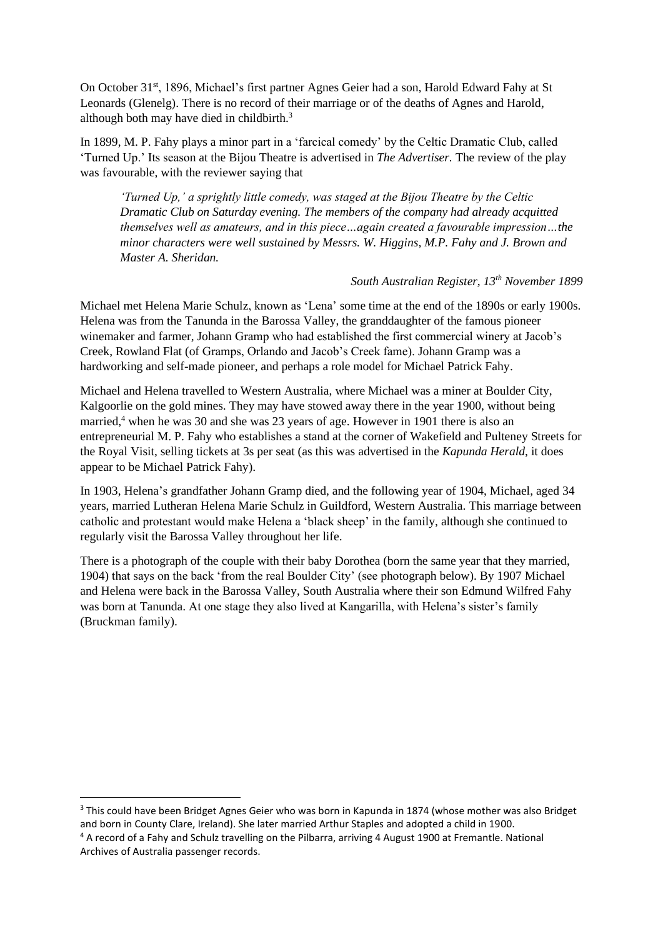On October 31<sup>st</sup>, 1896, Michael's first partner Agnes Geier had a son, Harold Edward Fahy at St Leonards (Glenelg). There is no record of their marriage or of the deaths of Agnes and Harold, although both may have died in childbirth.<sup>3</sup>

In 1899, M. P. Fahy plays a minor part in a 'farcical comedy' by the Celtic Dramatic Club, called 'Turned Up.' Its season at the Bijou Theatre is advertised in *The Advertiser.* The review of the play was favourable, with the reviewer saying that

*'Turned Up,' a sprightly little comedy, was staged at the Bijou Theatre by the Celtic Dramatic Club on Saturday evening. The members of the company had already acquitted themselves well as amateurs, and in this piece…again created a favourable impression…the minor characters were well sustained by Messrs. W. Higgins, M.P. Fahy and J. Brown and Master A. Sheridan.*

# *South Australian Register, 13th November 1899*

Michael met Helena Marie Schulz, known as 'Lena' some time at the end of the 1890s or early 1900s. Helena was from the Tanunda in the Barossa Valley, the granddaughter of the famous pioneer winemaker and farmer, Johann Gramp who had established the first commercial winery at Jacob's Creek, Rowland Flat (of Gramps, Orlando and Jacob's Creek fame). Johann Gramp was a hardworking and self-made pioneer, and perhaps a role model for Michael Patrick Fahy.

Michael and Helena travelled to Western Australia, where Michael was a miner at Boulder City, Kalgoorlie on the gold mines. They may have stowed away there in the year 1900, without being married,<sup>4</sup> when he was 30 and she was 23 years of age. However in 1901 there is also an entrepreneurial M. P. Fahy who establishes a stand at the corner of Wakefield and Pulteney Streets for the Royal Visit, selling tickets at 3s per seat (as this was advertised in the *Kapunda Herald*, it does appear to be Michael Patrick Fahy).

In 1903, Helena's grandfather Johann Gramp died, and the following year of 1904, Michael, aged 34 years, married Lutheran Helena Marie Schulz in Guildford, Western Australia. This marriage between catholic and protestant would make Helena a 'black sheep' in the family, although she continued to regularly visit the Barossa Valley throughout her life.

There is a photograph of the couple with their baby Dorothea (born the same year that they married, 1904) that says on the back 'from the real Boulder City' (see photograph below). By 1907 Michael and Helena were back in the Barossa Valley, South Australia where their son Edmund Wilfred Fahy was born at Tanunda. At one stage they also lived at Kangarilla, with Helena's sister's family (Bruckman family).

<sup>&</sup>lt;sup>3</sup> This could have been Bridget Agnes Geier who was born in Kapunda in 1874 (whose mother was also Bridget and born in County Clare, Ireland). She later married Arthur Staples and adopted a child in 1900. <sup>4</sup> A record of a Fahy and Schulz travelling on the Pilbarra, arriving 4 August 1900 at Fremantle. National Archives of Australia passenger records.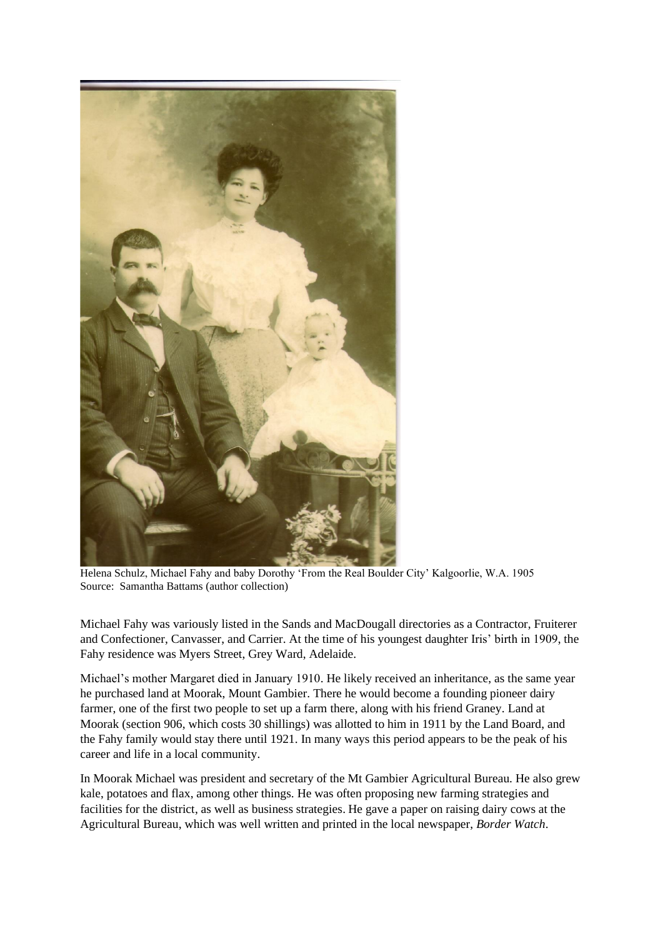

Helena Schulz, Michael Fahy and baby Dorothy 'From the Real Boulder City' Kalgoorlie, W.A. 1905 Source: Samantha Battams (author collection)

Michael Fahy was variously listed in the Sands and MacDougall directories as a Contractor, Fruiterer and Confectioner, Canvasser, and Carrier. At the time of his youngest daughter Iris' birth in 1909, the Fahy residence was Myers Street, Grey Ward, Adelaide.

Michael's mother Margaret died in January 1910. He likely received an inheritance, as the same year he purchased land at Moorak, Mount Gambier. There he would become a founding pioneer dairy farmer, one of the first two people to set up a farm there, along with his friend Graney. Land at Moorak (section 906, which costs 30 shillings) was allotted to him in 1911 by the Land Board, and the Fahy family would stay there until 1921. In many ways this period appears to be the peak of his career and life in a local community.

In Moorak Michael was president and secretary of the Mt Gambier Agricultural Bureau. He also grew kale, potatoes and flax, among other things. He was often proposing new farming strategies and facilities for the district, as well as business strategies. He gave a paper on raising dairy cows at the Agricultural Bureau, which was well written and printed in the local newspaper, *Border Watch*.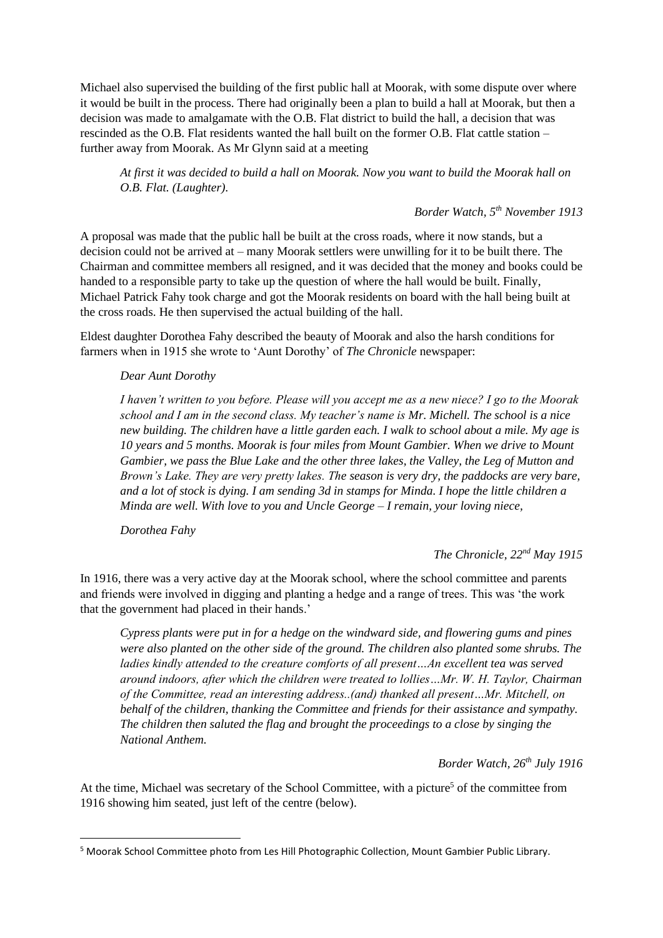Michael also supervised the building of the first public hall at Moorak, with some dispute over where it would be built in the process. There had originally been a plan to build a hall at Moorak, but then a decision was made to amalgamate with the O.B. Flat district to build the hall, a decision that was rescinded as the O.B. Flat residents wanted the hall built on the former O.B. Flat cattle station – further away from Moorak. As Mr Glynn said at a meeting

*At first it was decided to build a hall on Moorak. Now you want to build the Moorak hall on O.B. Flat. (Laughter).*

## *Border Watch, 5th November 1913*

A proposal was made that the public hall be built at the cross roads, where it now stands, but a decision could not be arrived at – many Moorak settlers were unwilling for it to be built there. The Chairman and committee members all resigned, and it was decided that the money and books could be handed to a responsible party to take up the question of where the hall would be built. Finally, Michael Patrick Fahy took charge and got the Moorak residents on board with the hall being built at the cross roads. He then supervised the actual building of the hall.

Eldest daughter Dorothea Fahy described the beauty of Moorak and also the harsh conditions for farmers when in 1915 she wrote to 'Aunt Dorothy' of *The Chronicle* newspaper:

#### *Dear Aunt Dorothy*

*I haven't written to you before. Please will you accept me as a new niece? I go to the Moorak school and I am in the second class. My teacher's name is Mr. Michell. The school is a nice new building. The children have a little garden each. I walk to school about a mile. My age is 10 years and 5 months. Moorak is four miles from Mount Gambier. When we drive to Mount Gambier, we pass the Blue Lake and the other three lakes, the Valley, the Leg of Mutton and Brown's Lake. They are very pretty lakes. The season is very dry, the paddocks are very bare, and a lot of stock is dying. I am sending 3d in stamps for Minda. I hope the little children a Minda are well. With love to you and Uncle George – I remain, your loving niece,* 

*Dorothea Fahy*

## *The Chronicle, 22nd May 1915*

In 1916, there was a very active day at the Moorak school, where the school committee and parents and friends were involved in digging and planting a hedge and a range of trees. This was 'the work that the government had placed in their hands.'

*Cypress plants were put in for a hedge on the windward side, and flowering gums and pines were also planted on the other side of the ground. The children also planted some shrubs. The ladies kindly attended to the creature comforts of all present…An excellent tea was served around indoors, after which the children were treated to lollies…Mr. W. H. Taylor, Chairman of the Committee, read an interesting address..(and) thanked all present…Mr. Mitchell, on behalf of the children, thanking the Committee and friends for their assistance and sympathy. The children then saluted the flag and brought the proceedings to a close by singing the National Anthem.*

*Border Watch, 26th July 1916*

At the time, Michael was secretary of the School Committee, with a picture<sup>5</sup> of the committee from 1916 showing him seated, just left of the centre (below).

<sup>5</sup> Moorak School Committee photo from Les Hill Photographic Collection, Mount Gambier Public Library.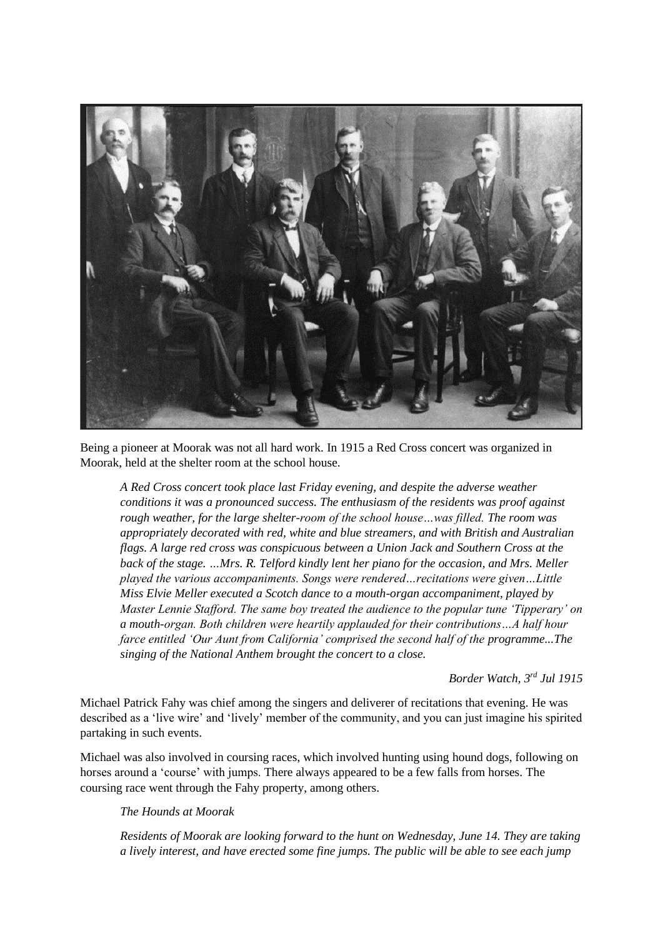

Being a pioneer at Moorak was not all hard work. In 1915 a Red Cross concert was organized in Moorak, held at the shelter room at the school house.

*A Red Cross concert took place last Friday evening, and despite the adverse weather conditions it was a pronounced success. The enthusiasm of the residents was proof against rough weather, for the large shelter-room of the school house…was filled. The room was appropriately decorated with red, white and blue streamers, and with British and Australian flags. A large red cross was conspicuous between a Union Jack and Southern Cross at the back of the stage. …Mrs. R. Telford kindly lent her piano for the occasion, and Mrs. Meller played the various accompaniments. Songs were rendered…recitations were given…Little Miss Elvie Meller executed a Scotch dance to a mouth-organ accompaniment, played by Master Lennie Stafford. The same boy treated the audience to the popular tune 'Tipperary' on a mouth-organ. Both children were heartily applauded for their contributions…A half hour farce entitled 'Our Aunt from California' comprised the second half of the programme...The singing of the National Anthem brought the concert to a close.*

*Border Watch, 3rd Jul 1915*

Michael Patrick Fahy was chief among the singers and deliverer of recitations that evening. He was described as a 'live wire' and 'lively' member of the community, and you can just imagine his spirited partaking in such events.

Michael was also involved in coursing races, which involved hunting using hound dogs, following on horses around a 'course' with jumps. There always appeared to be a few falls from horses. The coursing race went through the Fahy property, among others.

#### *The Hounds at Moorak*

*Residents of Moorak are looking forward to the hunt on Wednesday, June 14. They are taking a lively interest, and have erected some fine jumps. The public will be able to see each jump*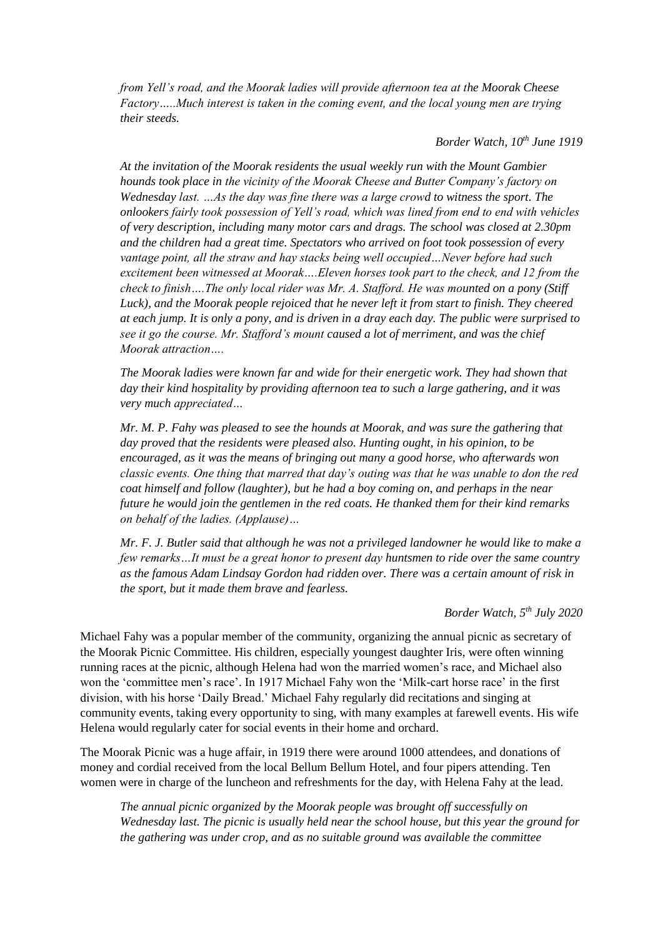*from Yell's road, and the Moorak ladies will provide afternoon tea at the Moorak Cheese Factory…..Much interest is taken in the coming event, and the local young men are trying their steeds.*

# *Border Watch, 10th June 1919*

*At the invitation of the Moorak residents the usual weekly run with the Mount Gambier hounds took place in the vicinity of the Moorak Cheese and Butter Company's factory on Wednesday last. …As the day was fine there was a large crowd to witness the sport. The onlookers fairly took possession of Yell's road, which was lined from end to end with vehicles of very description, including many motor cars and drags. The school was closed at 2.30pm and the children had a great time. Spectators who arrived on foot took possession of every vantage point, all the straw and hay stacks being well occupied…Never before had such excitement been witnessed at Moorak….Eleven horses took part to the check, and 12 from the check to finish….The only local rider was Mr. A. Stafford. He was mounted on a pony (Stiff Luck), and the Moorak people rejoiced that he never left it from start to finish. They cheered at each jump. It is only a pony, and is driven in a dray each day. The public were surprised to see it go the course. Mr. Stafford's mount caused a lot of merriment, and was the chief Moorak attraction….*

*The Moorak ladies were known far and wide for their energetic work. They had shown that day their kind hospitality by providing afternoon tea to such a large gathering, and it was very much appreciated…*

*Mr. M. P. Fahy was pleased to see the hounds at Moorak, and was sure the gathering that day proved that the residents were pleased also. Hunting ought, in his opinion, to be encouraged, as it was the means of bringing out many a good horse, who afterwards won classic events. One thing that marred that day's outing was that he was unable to don the red coat himself and follow (laughter), but he had a boy coming on, and perhaps in the near future he would join the gentlemen in the red coats. He thanked them for their kind remarks on behalf of the ladies. (Applause)…*

*Mr. F. J. Butler said that although he was not a privileged landowner he would like to make a few remarks…It must be a great honor to present day huntsmen to ride over the same country as the famous Adam Lindsay Gordon had ridden over. There was a certain amount of risk in the sport, but it made them brave and fearless.*

#### *Border Watch, 5th July 2020*

Michael Fahy was a popular member of the community, organizing the annual picnic as secretary of the Moorak Picnic Committee. His children, especially youngest daughter Iris, were often winning running races at the picnic, although Helena had won the married women's race, and Michael also won the 'committee men's race'. In 1917 Michael Fahy won the 'Milk-cart horse race' in the first division, with his horse 'Daily Bread.' Michael Fahy regularly did recitations and singing at community events, taking every opportunity to sing, with many examples at farewell events. His wife Helena would regularly cater for social events in their home and orchard.

The Moorak Picnic was a huge affair, in 1919 there were around 1000 attendees, and donations of money and cordial received from the local Bellum Bellum Hotel, and four pipers attending. Ten women were in charge of the luncheon and refreshments for the day, with Helena Fahy at the lead.

*The annual picnic organized by the Moorak people was brought off successfully on Wednesday last. The picnic is usually held near the school house, but this year the ground for the gathering was under crop, and as no suitable ground was available the committee*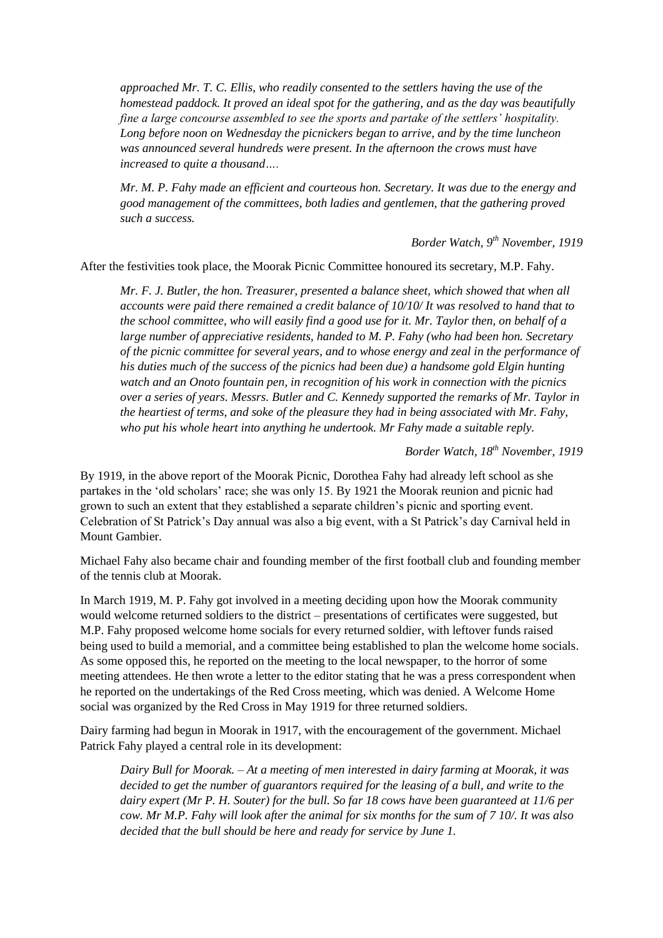*approached Mr. T. C. Ellis, who readily consented to the settlers having the use of the homestead paddock. It proved an ideal spot for the gathering, and as the day was beautifully fine a large concourse assembled to see the sports and partake of the settlers' hospitality. Long before noon on Wednesday the picnickers began to arrive, and by the time luncheon was announced several hundreds were present. In the afternoon the crows must have increased to quite a thousand….*

*Mr. M. P. Fahy made an efficient and courteous hon. Secretary. It was due to the energy and good management of the committees, both ladies and gentlemen, that the gathering proved such a success.*

*Border Watch, 9th November, 1919*

After the festivities took place, the Moorak Picnic Committee honoured its secretary, M.P. Fahy.

*Mr. F. J. Butler, the hon. Treasurer, presented a balance sheet, which showed that when all accounts were paid there remained a credit balance of 10/10/ It was resolved to hand that to the school committee, who will easily find a good use for it. Mr. Taylor then, on behalf of a large number of appreciative residents, handed to M. P. Fahy (who had been hon. Secretary of the picnic committee for several years, and to whose energy and zeal in the performance of his duties much of the success of the picnics had been due) a handsome gold Elgin hunting watch and an Onoto fountain pen, in recognition of his work in connection with the picnics over a series of years. Messrs. Butler and C. Kennedy supported the remarks of Mr. Taylor in the heartiest of terms, and soke of the pleasure they had in being associated with Mr. Fahy, who put his whole heart into anything he undertook. Mr Fahy made a suitable reply.*

*Border Watch, 18th November, 1919*

By 1919, in the above report of the Moorak Picnic, Dorothea Fahy had already left school as she partakes in the 'old scholars' race; she was only 15. By 1921 the Moorak reunion and picnic had grown to such an extent that they established a separate children's picnic and sporting event. Celebration of St Patrick's Day annual was also a big event, with a St Patrick's day Carnival held in Mount Gambier.

Michael Fahy also became chair and founding member of the first football club and founding member of the tennis club at Moorak.

In March 1919, M. P. Fahy got involved in a meeting deciding upon how the Moorak community would welcome returned soldiers to the district – presentations of certificates were suggested, but M.P. Fahy proposed welcome home socials for every returned soldier, with leftover funds raised being used to build a memorial, and a committee being established to plan the welcome home socials. As some opposed this, he reported on the meeting to the local newspaper, to the horror of some meeting attendees. He then wrote a letter to the editor stating that he was a press correspondent when he reported on the undertakings of the Red Cross meeting, which was denied. A Welcome Home social was organized by the Red Cross in May 1919 for three returned soldiers.

Dairy farming had begun in Moorak in 1917, with the encouragement of the government. Michael Patrick Fahy played a central role in its development:

*Dairy Bull for Moorak. – At a meeting of men interested in dairy farming at Moorak, it was decided to get the number of guarantors required for the leasing of a bull, and write to the dairy expert (Mr P. H. Souter) for the bull. So far 18 cows have been guaranteed at 11/6 per cow. Mr M.P. Fahy will look after the animal for six months for the sum of 7 10/. It was also decided that the bull should be here and ready for service by June 1.*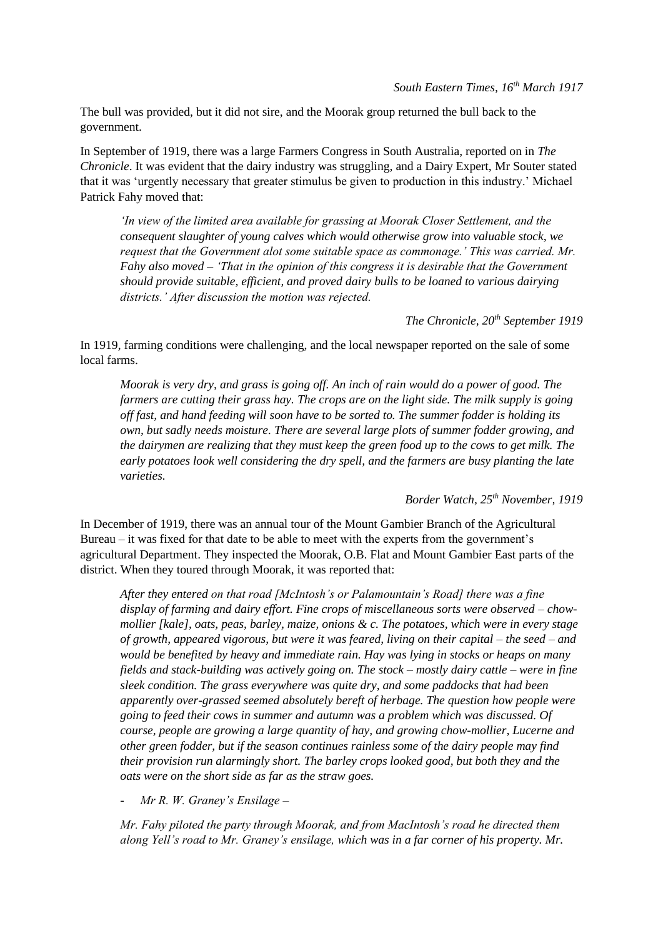The bull was provided, but it did not sire, and the Moorak group returned the bull back to the government.

In September of 1919, there was a large Farmers Congress in South Australia, reported on in *The Chronicle*. It was evident that the dairy industry was struggling, and a Dairy Expert, Mr Souter stated that it was 'urgently necessary that greater stimulus be given to production in this industry.' Michael Patrick Fahy moved that:

*'In view of the limited area available for grassing at Moorak Closer Settlement, and the consequent slaughter of young calves which would otherwise grow into valuable stock, we request that the Government alot some suitable space as commonage.' This was carried. Mr. Fahy also moved – 'That in the opinion of this congress it is desirable that the Government should provide suitable, efficient, and proved dairy bulls to be loaned to various dairying districts.' After discussion the motion was rejected.*

*The Chronicle, 20th September 1919*

In 1919, farming conditions were challenging, and the local newspaper reported on the sale of some local farms.

*Moorak is very dry, and grass is going off. An inch of rain would do a power of good. The farmers are cutting their grass hay. The crops are on the light side. The milk supply is going off fast, and hand feeding will soon have to be sorted to. The summer fodder is holding its own, but sadly needs moisture. There are several large plots of summer fodder growing, and the dairymen are realizing that they must keep the green food up to the cows to get milk. The early potatoes look well considering the dry spell, and the farmers are busy planting the late varieties.*

*Border Watch, 25th November, 1919*

In December of 1919, there was an annual tour of the Mount Gambier Branch of the Agricultural Bureau – it was fixed for that date to be able to meet with the experts from the government's agricultural Department. They inspected the Moorak, O.B. Flat and Mount Gambier East parts of the district. When they toured through Moorak, it was reported that:

*After they entered on that road [McIntosh's or Palamountain's Road] there was a fine display of farming and dairy effort. Fine crops of miscellaneous sorts were observed – chowmollier [kale], oats, peas, barley, maize, onions & c. The potatoes, which were in every stage of growth, appeared vigorous, but were it was feared, living on their capital – the seed – and would be benefited by heavy and immediate rain. Hay was lying in stocks or heaps on many fields and stack-building was actively going on. The stock – mostly dairy cattle – were in fine sleek condition. The grass everywhere was quite dry, and some paddocks that had been apparently over-grassed seemed absolutely bereft of herbage. The question how people were going to feed their cows in summer and autumn was a problem which was discussed. Of course, people are growing a large quantity of hay, and growing chow-mollier, Lucerne and other green fodder, but if the season continues rainless some of the dairy people may find their provision run alarmingly short. The barley crops looked good, but both they and the oats were on the short side as far as the straw goes.*

- *Mr R. W. Graney's Ensilage –*

*Mr. Fahy piloted the party through Moorak, and from MacIntosh's road he directed them along Yell's road to Mr. Graney's ensilage, which was in a far corner of his property. Mr.*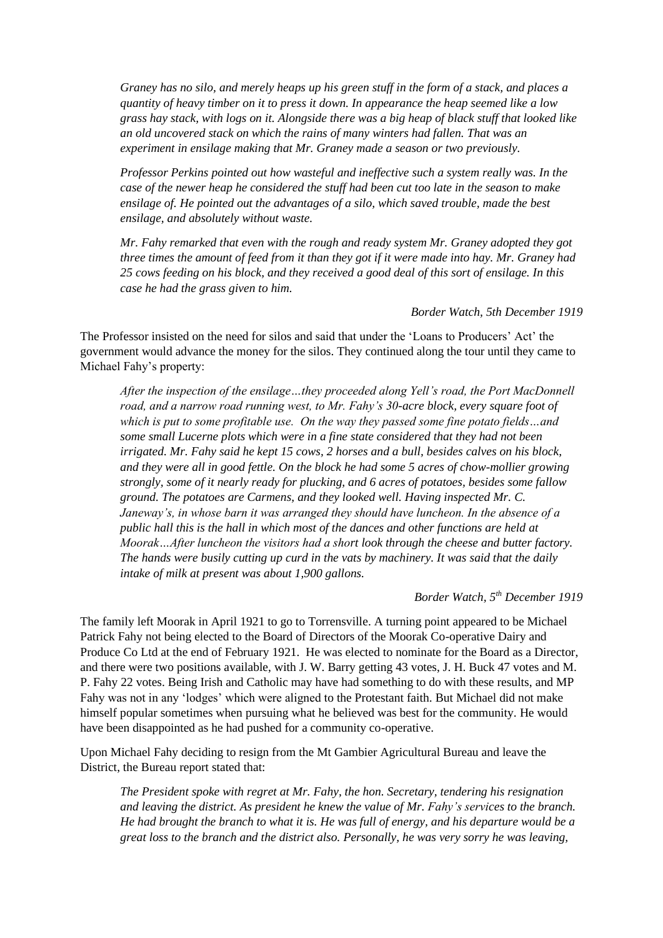*Graney has no silo, and merely heaps up his green stuff in the form of a stack, and places a quantity of heavy timber on it to press it down. In appearance the heap seemed like a low grass hay stack, with logs on it. Alongside there was a big heap of black stuff that looked like an old uncovered stack on which the rains of many winters had fallen. That was an experiment in ensilage making that Mr. Graney made a season or two previously.*

*Professor Perkins pointed out how wasteful and ineffective such a system really was. In the case of the newer heap he considered the stuff had been cut too late in the season to make ensilage of. He pointed out the advantages of a silo, which saved trouble, made the best ensilage, and absolutely without waste.*

*Mr. Fahy remarked that even with the rough and ready system Mr. Graney adopted they got three times the amount of feed from it than they got if it were made into hay. Mr. Graney had 25 cows feeding on his block, and they received a good deal of this sort of ensilage. In this case he had the grass given to him.*

*Border Watch, 5th December 1919*

The Professor insisted on the need for silos and said that under the 'Loans to Producers' Act' the government would advance the money for the silos. They continued along the tour until they came to Michael Fahy's property:

*After the inspection of the ensilage…they proceeded along Yell's road, the Port MacDonnell road, and a narrow road running west, to Mr. Fahy's 30-acre block, every square foot of which is put to some profitable use. On the way they passed some fine potato fields…and some small Lucerne plots which were in a fine state considered that they had not been irrigated. Mr. Fahy said he kept 15 cows, 2 horses and a bull, besides calves on his block, and they were all in good fettle. On the block he had some 5 acres of chow-mollier growing strongly, some of it nearly ready for plucking, and 6 acres of potatoes, besides some fallow ground. The potatoes are Carmens, and they looked well. Having inspected Mr. C. Janeway's, in whose barn it was arranged they should have luncheon. In the absence of a public hall this is the hall in which most of the dances and other functions are held at Moorak…After luncheon the visitors had a short look through the cheese and butter factory. The hands were busily cutting up curd in the vats by machinery. It was said that the daily intake of milk at present was about 1,900 gallons.* 

## *Border Watch, 5th December 1919*

The family left Moorak in April 1921 to go to Torrensville. A turning point appeared to be Michael Patrick Fahy not being elected to the Board of Directors of the Moorak Co-operative Dairy and Produce Co Ltd at the end of February 1921. He was elected to nominate for the Board as a Director, and there were two positions available, with J. W. Barry getting 43 votes, J. H. Buck 47 votes and M. P. Fahy 22 votes. Being Irish and Catholic may have had something to do with these results, and MP Fahy was not in any 'lodges' which were aligned to the Protestant faith. But Michael did not make himself popular sometimes when pursuing what he believed was best for the community. He would have been disappointed as he had pushed for a community co-operative.

Upon Michael Fahy deciding to resign from the Mt Gambier Agricultural Bureau and leave the District, the Bureau report stated that:

*The President spoke with regret at Mr. Fahy, the hon. Secretary, tendering his resignation and leaving the district. As president he knew the value of Mr. Fahy's services to the branch. He had brought the branch to what it is. He was full of energy, and his departure would be a great loss to the branch and the district also. Personally, he was very sorry he was leaving,*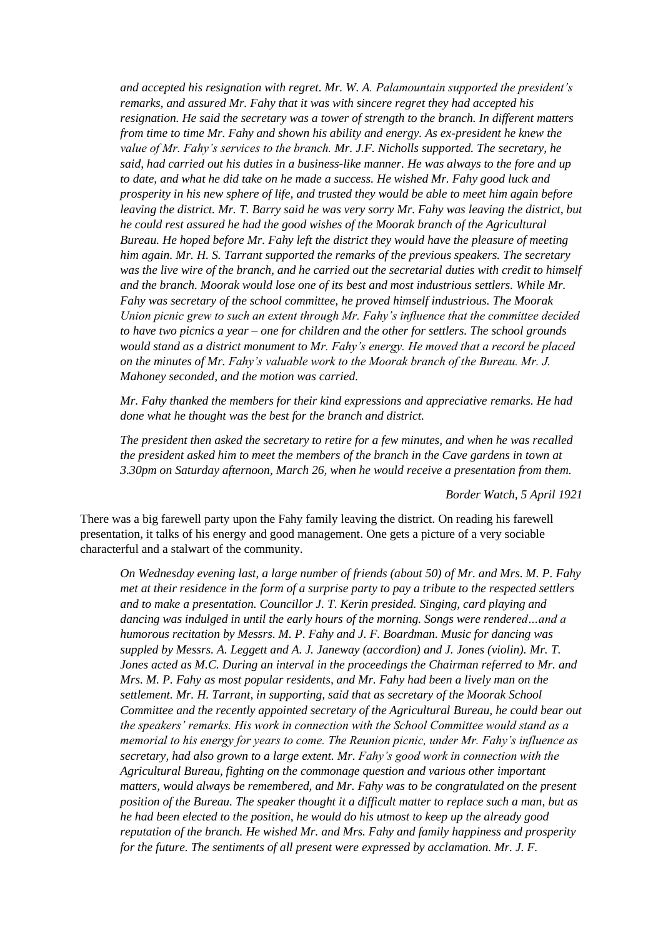*and accepted his resignation with regret. Mr. W. A. Palamountain supported the president's remarks, and assured Mr. Fahy that it was with sincere regret they had accepted his resignation. He said the secretary was a tower of strength to the branch. In different matters from time to time Mr. Fahy and shown his ability and energy. As ex-president he knew the value of Mr. Fahy's services to the branch. Mr. J.F. Nicholls supported. The secretary, he said, had carried out his duties in a business-like manner. He was always to the fore and up to date, and what he did take on he made a success. He wished Mr. Fahy good luck and prosperity in his new sphere of life, and trusted they would be able to meet him again before leaving the district. Mr. T. Barry said he was very sorry Mr. Fahy was leaving the district, but he could rest assured he had the good wishes of the Moorak branch of the Agricultural Bureau. He hoped before Mr. Fahy left the district they would have the pleasure of meeting him again. Mr. H. S. Tarrant supported the remarks of the previous speakers. The secretary was the live wire of the branch, and he carried out the secretarial duties with credit to himself and the branch. Moorak would lose one of its best and most industrious settlers. While Mr. Fahy was secretary of the school committee, he proved himself industrious. The Moorak Union picnic grew to such an extent through Mr. Fahy's influence that the committee decided to have two picnics a year – one for children and the other for settlers. The school grounds would stand as a district monument to Mr. Fahy's energy. He moved that a record be placed on the minutes of Mr. Fahy's valuable work to the Moorak branch of the Bureau. Mr. J. Mahoney seconded, and the motion was carried.* 

*Mr. Fahy thanked the members for their kind expressions and appreciative remarks. He had done what he thought was the best for the branch and district.*

*The president then asked the secretary to retire for a few minutes, and when he was recalled the president asked him to meet the members of the branch in the Cave gardens in town at 3.30pm on Saturday afternoon, March 26, when he would receive a presentation from them.*

*Border Watch, 5 April 1921*

There was a big farewell party upon the Fahy family leaving the district. On reading his farewell presentation, it talks of his energy and good management. One gets a picture of a very sociable characterful and a stalwart of the community.

*On Wednesday evening last, a large number of friends (about 50) of Mr. and Mrs. M. P. Fahy met at their residence in the form of a surprise party to pay a tribute to the respected settlers and to make a presentation. Councillor J. T. Kerin presided. Singing, card playing and dancing was indulged in until the early hours of the morning. Songs were rendered…and a humorous recitation by Messrs. M. P. Fahy and J. F. Boardman. Music for dancing was suppled by Messrs. A. Leggett and A. J. Janeway (accordion) and J. Jones (violin). Mr. T. Jones acted as M.C. During an interval in the proceedings the Chairman referred to Mr. and Mrs. M. P. Fahy as most popular residents, and Mr. Fahy had been a lively man on the settlement. Mr. H. Tarrant, in supporting, said that as secretary of the Moorak School Committee and the recently appointed secretary of the Agricultural Bureau, he could bear out the speakers' remarks. His work in connection with the School Committee would stand as a memorial to his energy for years to come. The Reunion picnic, under Mr. Fahy's influence as secretary, had also grown to a large extent. Mr. Fahy's good work in connection with the Agricultural Bureau, fighting on the commonage question and various other important matters, would always be remembered, and Mr. Fahy was to be congratulated on the present position of the Bureau. The speaker thought it a difficult matter to replace such a man, but as he had been elected to the position, he would do his utmost to keep up the already good reputation of the branch. He wished Mr. and Mrs. Fahy and family happiness and prosperity for the future. The sentiments of all present were expressed by acclamation. Mr. J. F.*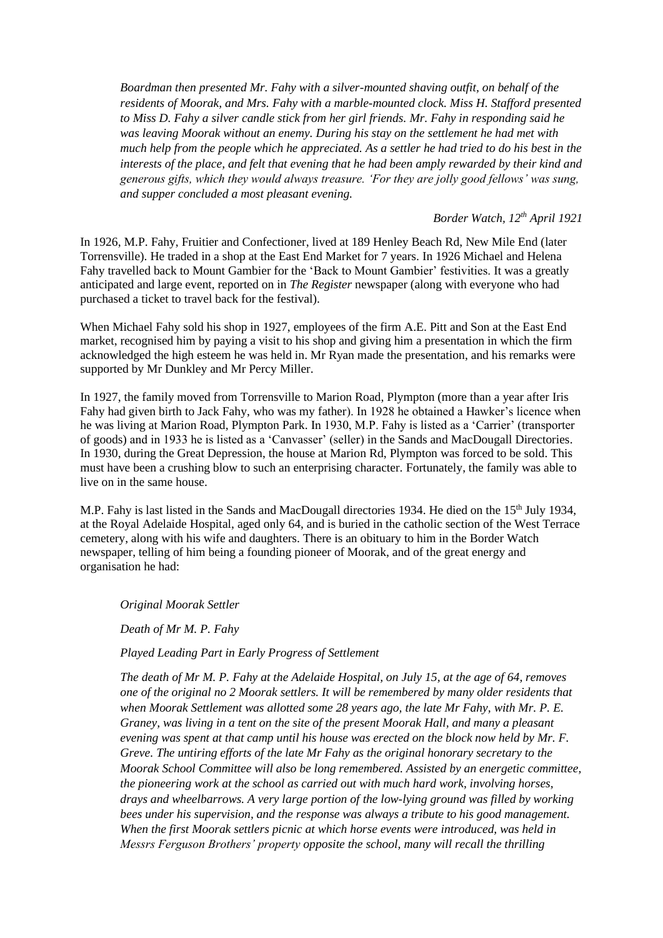*Boardman then presented Mr. Fahy with a silver-mounted shaving outfit, on behalf of the residents of Moorak, and Mrs. Fahy with a marble-mounted clock. Miss H. Stafford presented to Miss D. Fahy a silver candle stick from her girl friends. Mr. Fahy in responding said he was leaving Moorak without an enemy. During his stay on the settlement he had met with much help from the people which he appreciated. As a settler he had tried to do his best in the interests of the place, and felt that evening that he had been amply rewarded by their kind and generous gifts, which they would always treasure. 'For they are jolly good fellows' was sung, and supper concluded a most pleasant evening.*

*Border Watch, 12th April 1921*

In 1926, M.P. Fahy, Fruitier and Confectioner, lived at 189 Henley Beach Rd, New Mile End (later Torrensville). He traded in a shop at the East End Market for 7 years. In 1926 Michael and Helena Fahy travelled back to Mount Gambier for the 'Back to Mount Gambier' festivities. It was a greatly anticipated and large event, reported on in *The Register* newspaper (along with everyone who had purchased a ticket to travel back for the festival).

When Michael Fahy sold his shop in 1927, employees of the firm A.E. Pitt and Son at the East End market, recognised him by paying a visit to his shop and giving him a presentation in which the firm acknowledged the high esteem he was held in. Mr Ryan made the presentation, and his remarks were supported by Mr Dunkley and Mr Percy Miller.

In 1927, the family moved from Torrensville to Marion Road, Plympton (more than a year after Iris Fahy had given birth to Jack Fahy, who was my father). In 1928 he obtained a Hawker's licence when he was living at Marion Road, Plympton Park. In 1930, M.P. Fahy is listed as a 'Carrier' (transporter of goods) and in 1933 he is listed as a 'Canvasser' (seller) in the Sands and MacDougall Directories. In 1930, during the Great Depression, the house at Marion Rd, Plympton was forced to be sold. This must have been a crushing blow to such an enterprising character. Fortunately, the family was able to live on in the same house.

M.P. Fahy is last listed in the Sands and MacDougall directories 1934. He died on the 15<sup>th</sup> July 1934, at the Royal Adelaide Hospital, aged only 64, and is buried in the catholic section of the West Terrace cemetery, along with his wife and daughters. There is an obituary to him in the Border Watch newspaper, telling of him being a founding pioneer of Moorak, and of the great energy and organisation he had:

*Original Moorak Settler*

*Death of Mr M. P. Fahy*

*Played Leading Part in Early Progress of Settlement*

*The death of Mr M. P. Fahy at the Adelaide Hospital, on July 15, at the age of 64, removes one of the original no 2 Moorak settlers. It will be remembered by many older residents that when Moorak Settlement was allotted some 28 years ago, the late Mr Fahy, with Mr. P. E. Graney, was living in a tent on the site of the present Moorak Hall, and many a pleasant evening was spent at that camp until his house was erected on the block now held by Mr. F. Greve. The untiring efforts of the late Mr Fahy as the original honorary secretary to the Moorak School Committee will also be long remembered. Assisted by an energetic committee, the pioneering work at the school as carried out with much hard work, involving horses, drays and wheelbarrows. A very large portion of the low-lying ground was filled by working bees under his supervision, and the response was always a tribute to his good management. When the first Moorak settlers picnic at which horse events were introduced, was held in Messrs Ferguson Brothers' property opposite the school, many will recall the thrilling*